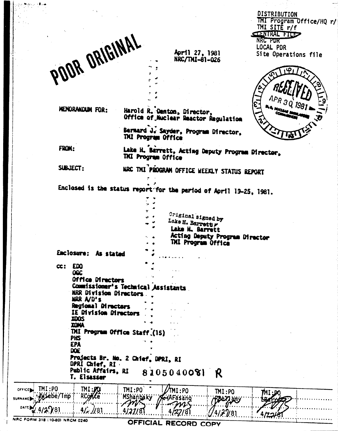|                                                |                               |                                                                        | DISTRIBUTION<br>TMI Program Office/HQ r/ |
|------------------------------------------------|-------------------------------|------------------------------------------------------------------------|------------------------------------------|
|                                                |                               |                                                                        | TMI SITE r/f<br><b>CENTRAL FILES</b>     |
|                                                |                               |                                                                        | NRC POR                                  |
| POOR ORIGINAL                                  |                               | April 27, 1981<br>NRC/TNI-81-026                                       | LOCAL PDR<br>Site Operations file        |
|                                                |                               |                                                                        |                                          |
|                                                |                               |                                                                        |                                          |
|                                                |                               |                                                                        |                                          |
| MENDRANDUM FOR:                                |                               | Harold R. Danton, Director,                                            | $APR_{31}$                               |
|                                                |                               | Office of Nuclear Reactor Regulation                                   |                                          |
|                                                |                               | Bernard J. Sayder, Program Director,<br>TMI Program Office             |                                          |
| FROM:                                          |                               | Lake H. Barrett, Acting Deputy Program Director,<br>TAI Program Office |                                          |
| SUBJECT:                                       |                               | MRC TMI PROGRAM OFFICE WEEKLY STATUS REPORT                            |                                          |
|                                                |                               | Enclosed is the status report for the period of April 19-25, 1981.     |                                          |
|                                                |                               |                                                                        |                                          |
|                                                |                               |                                                                        |                                          |
|                                                |                               | Original signed by<br>Lake H. Barrettly                                |                                          |
|                                                |                               | Lake H. Barrett                                                        |                                          |
|                                                |                               | Acting Deputy Program Director<br>THI Program Office                   |                                          |
| Enclosure: As stated                           |                               |                                                                        |                                          |
| EDO<br>$\boldsymbol{\alpha}$ :<br>OGC          |                               |                                                                        |                                          |
| <b>Office Directors</b>                        |                               |                                                                        |                                          |
|                                                | MRR Division Directors        | Commissioner's Technical Assistants                                    |                                          |
| NRR A/D's<br>Regional Directors                |                               |                                                                        |                                          |
| IE Division Directors                          |                               |                                                                        |                                          |
| XOOS<br><b>XGNA</b>                            |                               |                                                                        |                                          |
|                                                | TMI Program Office Staff (15) |                                                                        |                                          |
| PHS<br>EPA                                     |                               |                                                                        |                                          |
| <b>DOE</b>                                     |                               |                                                                        |                                          |
| DPRI Chief, RI                                 |                               | Projects Br. No. 2 Chief, DPRI, RI                                     |                                          |
| Public Affairs, RI                             |                               | 8105040081<br>K                                                        |                                          |
| T. Elsasser                                    |                               |                                                                        |                                          |
| IMI:PO<br>$TM:J\Omega$<br>OFFICE               | IMI:PO                        | TMI:PO<br>IMI:PO                                                       | MI :DO                                   |
| wiebe/Tmp                                      |                               |                                                                        |                                          |
| <b>RCOACE</b><br>SURNAME<br><b>DATE</b><br>781 | MShanbaky                     | EiAFasano<br><b>RBEYZ amy</b>                                          |                                          |

OFFICIAL RECORD COPY

NRC FOR

 $\mathcal{L}_{\mathcal{A}}$ 

 $\frac{1}{2}$ 

 $\overline{\phantom{a}}$ 

 $\frac{1}{2} \int_0^1$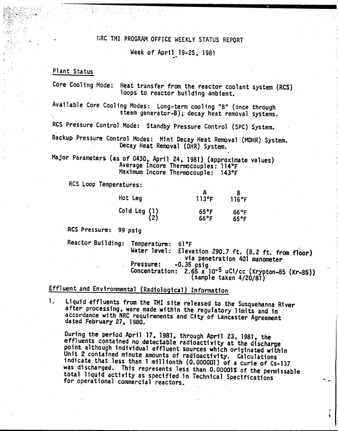## r;RC TMI PROGRAM OFFICE WEEKLY STATUS REPORT

Week of April 19-25, 1981

### Plant Status

 $\mathbf{v}_i$  ,  $\mathbf{v}_i$  ,

Core Cooling Mode: Heat transfer from the reactor coolant system (RCS) loops to reactor building ambient.

Available Core Cooling Modes: Long-term cooling "B" (once through steam generator-B); decay heat removal systems.

RCS Pressure Control Mode: Standby Pressure Control (SPC) System.

Backup Pressure Control Modes: Mini Decay Heat Removal (MOHR) System. Decay Heat Removal (DHR) System.

Major Parameters (as of 0430, April 24, 1981) (approximate values) 'Average Incore Thermocouples: 114°F Maximum Incore Thermocouple: 143°F

RCS Loop Temperatures:

| Hot Leg                 | $113$ °F               | 116°F                  |
|-------------------------|------------------------|------------------------|
| Cold Leg $(1)$<br>$(2)$ | $65^{\circ}$ F<br>66°F | $66^{\circ}$ F<br>65°F |

RCS Pressure: 99 psig

Reactor Building: Temperature: 61°F . Water level: Elevation 290.7 ft. (8.2 ft. from floor) via penetration 401 manometer Pressure: -0.35 psig Concentration:  $2.65 \times 10^{-5}$  uCi/cc (Krypton-85 (Kr-85)) (sample taken 4/20/81)

# Effluent and Environmental (Radiological) Information

1. Liquid effluents from the 1MI site released to the Susquehanna River after processing, were made within the regulatory limits and in accordance with NRC requirements and City of Lancaster Agreement dated February 27. 1980.

During the period April 17, 1981, through April 23, 1981, the effluents contained no detectable radioactivity at the discharge point although individual effluent sources which originated within Unit 2 contained minute amounts of radioactivity. Calculations indicate:that less than 1 millionth (0.000001) of a curie of Cs~137 was 'discharged. This represents less than O.OOOOlS of the permissab1e total liquid activity as specified in Technical Specifications for operational commercial reactors.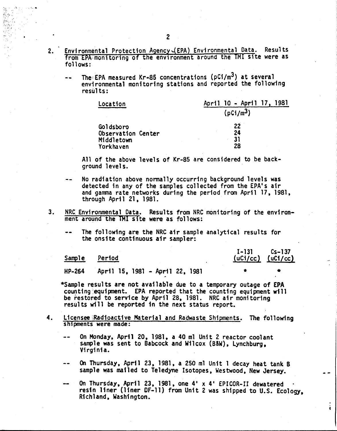- 2. Environmental Protection Agency (EPA) Environmental Data. Results from EPA monitoring of the environment around the TMI site were as follows:
	- The EPA measured Kr-85 concentrations ( $pCi/m<sup>3</sup>$ ) at several environmental monitoring stations and reported the following results:

| Location           | April 10 - April 17, 1981 |  |  |  |
|--------------------|---------------------------|--|--|--|
|                    | (pCi/m <sup>3</sup> )     |  |  |  |
| Goldsboro          | 22                        |  |  |  |
| Observation Center | 24                        |  |  |  |
| Middletown         | 31                        |  |  |  |
| Yorkhaven          | 28                        |  |  |  |

All of the above levels of Kr-85 are considered to be background levels.

- No radiation above normally occurring background levels was detected in any of the samples collected from the EPA's air and gamma rate networks during the period from April 17, 1981, through April 21, 1981.
- 3. NRC.Environmental Data. Results from NRC monitoring of the environment around the TMI site were as follows:
	- The following are the NRC air sample analytical results for the onsite continuous air sampler:

| Sample | <u>Period</u>                   | $I-131$ $Cs-137$ | $(uCi/cc)$ $(uCi/cc)$ |
|--------|---------------------------------|------------------|-----------------------|
| HP-264 | April 15, 1981 - April 22, 1981 |                  |                       |

\*Sample results are not available due to a temporary outage of EPA counting equipment. EPA reported that the counting equipment will be restored to service by April 28, 1981. NRC air monitoring results wi 11 be reported in the next status report.

- 4. Licensee Radioactive Material and Radwaste Shipments. The following shipments were made:
	- On Monday, April 20, 1981, a 40 ml Unit 2 reactor coolant sample was sent to Babcock and Wilcox (B&W), Lynchburg, Virginia.
	- On Thursday, April 23, 1981, a 250 ml Unit 1 decay heat tank B sample was mailed to Teledyne Isotopes, Westwood, New Jersey.
	- On Thursday, April 23, 1981. one 4' x 4' EPICOR-II dewatered resin liner (liner DF-ll) from Unit 2 was shipped to U.S. Ecology, Richland, Washington.

ì.

. The second contribution of  $\mathcal{E}$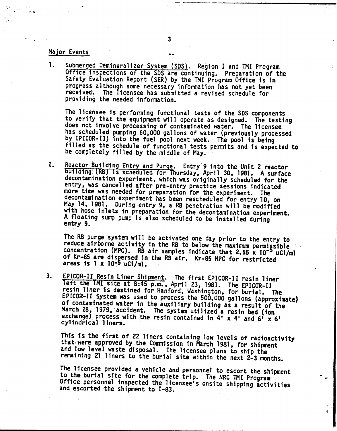### Major Events

1. Submerged Demineralizer System (SDS). Region I and TMI Program Office inspections of the SDS are continuing. Preparation of the Safety Evaluation Report (5ER) by the TMI Program Office is in progress although some necessary information has not yet been received. The licensee has submitted a revised schedule for providing the needed information.

The licensee is performing functional tests *of* the SDS components to verify that the equipment will operate as designed. The testing does not involve processing of contaminated water. The licensee has scheduled pumping 60,000 gallons of water (previously processed by EPICOR-II) into the fuel pool next week. The pool is being filled as the schedule of functional tests pennits and is expected to be completely filled by the middle *of* May.

2. Reactor Building Entry and Purge. Entry 9 into the Unit 2 reactor building (RB) is scheduled for Thursday, April 30, 1981. A surface decontamination experiment. which was originally scheduled for the entry, was cancelled after pre-entry practice sessions indicated more time was needed for preparation for the experiment. The decontamination experiment has been rescheduled for entry 10, on May 14, 1981. During entry 9, a RB penetration will be modified with hose inlets in preparation for the decontamination experiment. A floating sump pump is also scheduled to be installed during entry 9.

The RB purge system will be activated one day prior to the entry to reduce airborne activity in the RB to below the maximum permissible concentration (MPC). RB air samples indicate that 2.65 x  $10^{-5}$  uCi/ml of Kr-85 are dispersed in the RB air. Kr-85 MPC for restricted areas is  $1 \times 10^{-5}$  uCi/ml.

3. EPICOR-II Resin Liner Shipment. The first EPICOR-II resin liner left the TMI site at 8:45 p.m., April 23, 1981. The EPICOR-II resin liner 1s destined for Hanford, Washington, for burial. The EPICOR-II. System was used to process the 500,000 gallons (approximate) of contaminated water in the auxiliary building as a result of the March 28, 1979, accident. The system utilized a resin bed (ion exchange) process with the resin contained in  $4'$  x  $4'$  and  $6'$  x  $6'$ cylindrical liners.

This is the first of 22 liners containing low levels of radioactivity that were approved by the Commission in March 1981, for shipment and low level waste disposal. The licensee plans to ship the remaining 21 liners to the burial site within the next 2-3 months.

The licensee provided a vehicle and personnel to escort the shipment to the burial site for the complete trip. The NRC 1MI Program Office personnel inspected the licensee's onsite shipping activities and escorted the shipment to I-83.

÷